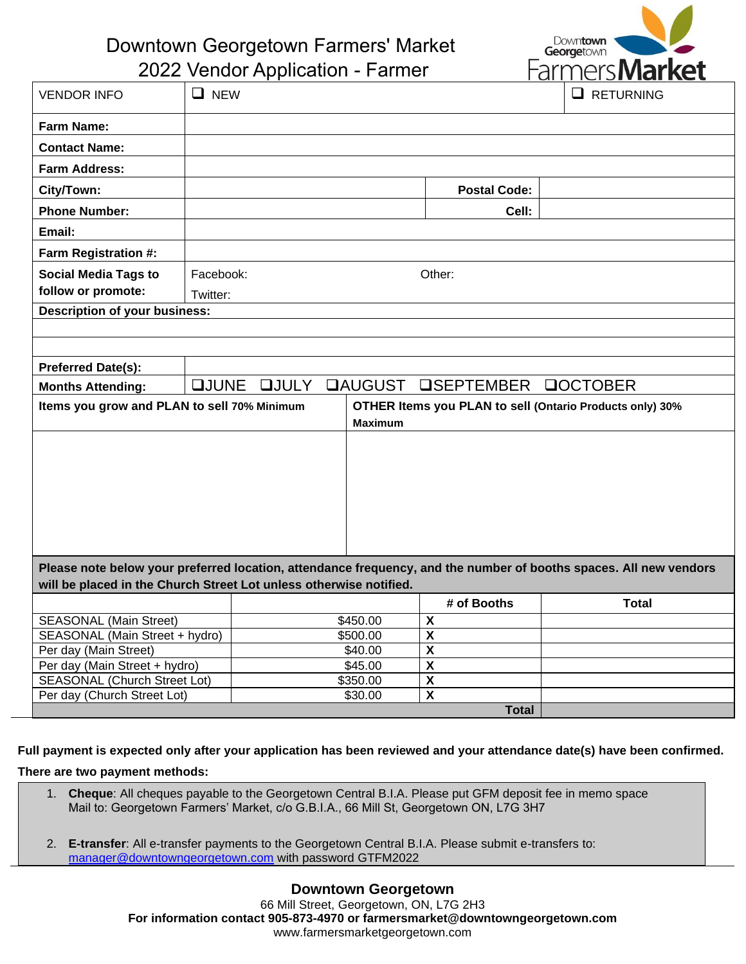

Downtown Georgetown Farmers' Market 2022 Vendor Application - Farmer

|                                                                                                                   | ZUZZ VUNUU APPIIUANUITTI ANNU |                      |          |                                               |                                    |              | LALLICIO <b>IVIAI NEL</b> |
|-------------------------------------------------------------------------------------------------------------------|-------------------------------|----------------------|----------|-----------------------------------------------|------------------------------------|--------------|---------------------------|
| <b>VENDOR INFO</b>                                                                                                | $\Box$ NEW                    |                      |          |                                               |                                    |              | $\Box$ RETURNING          |
| <b>Farm Name:</b>                                                                                                 |                               |                      |          |                                               |                                    |              |                           |
| <b>Contact Name:</b>                                                                                              |                               |                      |          |                                               |                                    |              |                           |
| <b>Farm Address:</b>                                                                                              |                               |                      |          |                                               |                                    |              |                           |
| City/Town:                                                                                                        |                               |                      |          |                                               | <b>Postal Code:</b>                |              |                           |
| <b>Phone Number:</b>                                                                                              |                               |                      |          |                                               | Cell:                              |              |                           |
| Email:                                                                                                            |                               |                      |          |                                               |                                    |              |                           |
| Farm Registration #:                                                                                              |                               |                      |          |                                               |                                    |              |                           |
| <b>Social Media Tags to</b>                                                                                       | Facebook:<br>Other:           |                      |          |                                               |                                    |              |                           |
| follow or promote:                                                                                                | Twitter:                      |                      |          |                                               |                                    |              |                           |
| <b>Description of your business:</b>                                                                              |                               |                      |          |                                               |                                    |              |                           |
|                                                                                                                   |                               |                      |          |                                               |                                    |              |                           |
|                                                                                                                   |                               |                      |          |                                               |                                    |              |                           |
| <b>Preferred Date(s):</b>                                                                                         |                               |                      |          |                                               |                                    |              |                           |
| <b>Months Attending:</b>                                                                                          | <b>QJUNE</b>                  | <b>QJULY</b>         |          |                                               | <b>QAUGUST QSEPTEMBER QOCTOBER</b> |              |                           |
| Items you grow and PLAN to sell 70% Minimum<br><b>OTHER Items you PLAN to sell (Ontario Products only) 30%</b>    |                               |                      |          |                                               |                                    |              |                           |
|                                                                                                                   |                               |                      |          | <b>Maximum</b>                                |                                    |              |                           |
|                                                                                                                   |                               |                      |          |                                               |                                    |              |                           |
|                                                                                                                   |                               |                      |          |                                               |                                    |              |                           |
|                                                                                                                   |                               |                      |          |                                               |                                    |              |                           |
|                                                                                                                   |                               |                      |          |                                               |                                    |              |                           |
|                                                                                                                   |                               |                      |          |                                               |                                    |              |                           |
|                                                                                                                   |                               |                      |          |                                               |                                    |              |                           |
| Please note below your preferred location, attendance frequency, and the number of booths spaces. All new vendors |                               |                      |          |                                               |                                    |              |                           |
| will be placed in the Church Street Lot unless otherwise notified.                                                |                               |                      |          |                                               |                                    |              |                           |
|                                                                                                                   |                               |                      |          |                                               | # of Booths                        |              | <b>Total</b>              |
| <b>SEASONAL</b> (Main Street)                                                                                     |                               | \$450.00<br>\$500.00 |          | $\overline{\mathbf{X}}$<br>$\pmb{\mathsf{X}}$ |                                    |              |                           |
| SEASONAL (Main Street + hydro)<br>Per day (Main Street)                                                           |                               |                      |          | \$40.00                                       | $\pmb{\mathsf{X}}$                 |              |                           |
| Per day (Main Street + hydro)                                                                                     |                               | \$45.00              |          | $\pmb{\mathsf{X}}$                            |                                    |              |                           |
| <b>SEASONAL (Church Street Lot)</b>                                                                               |                               |                      | \$350.00 | $\pmb{\mathsf{X}}$                            |                                    |              |                           |
|                                                                                                                   | Per day (Church Street Lot)   |                      |          | \$30.00                                       | $\pmb{\mathsf{X}}$                 |              |                           |
|                                                                                                                   |                               |                      |          |                                               |                                    | <b>Total</b> |                           |

**Full payment is expected only after your application has been reviewed and your attendance date(s) have been confirmed. There are two payment methods:**

- 1. **Cheque**: All cheques payable to the Georgetown Central B.I.A. Please put GFM deposit fee in memo space Mail to: Georgetown Farmers' Market, c/o G.B.I.A., 66 Mill St, Georgetown ON, L7G 3H7
- 2. **E-transfer**: All e-transfer payments to the Georgetown Central B.I.A. Please submit e-transfers to: [manager@downtowngeorgetown.com](mailto:manager@downtowngeorgetown.com) with password GTFM2022

## **Downtown Georgetown**

66 Mill Street, Georgetown, ON, L7G 2H3 **For information contact 905-873-4970 or farmersmarket@downtowngeorgetown.com** www.farmersmarketgeorgetown.com